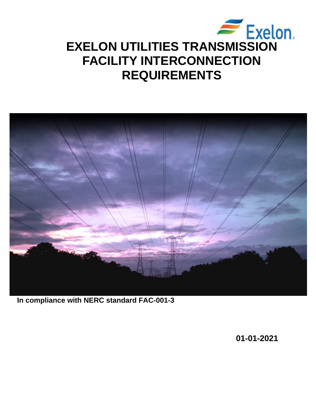



**In compliance with NERC standard FAC-001-3**

**01-01-2021**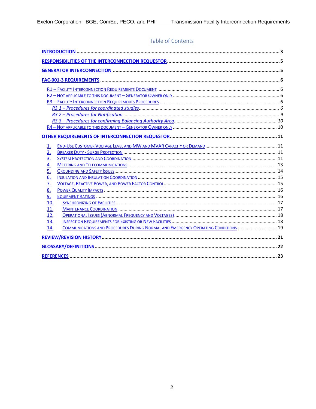# Table of Contents

| <u>1.</u>        |                                                                                    |  |  |  |
|------------------|------------------------------------------------------------------------------------|--|--|--|
| 2.               |                                                                                    |  |  |  |
| $\overline{3}$ . |                                                                                    |  |  |  |
| $\frac{4}{5}$    |                                                                                    |  |  |  |
|                  |                                                                                    |  |  |  |
| 6.               |                                                                                    |  |  |  |
| $\overline{7}$   |                                                                                    |  |  |  |
| 8.               |                                                                                    |  |  |  |
| 9.               |                                                                                    |  |  |  |
| 10.              |                                                                                    |  |  |  |
| 11.              |                                                                                    |  |  |  |
| 12.              |                                                                                    |  |  |  |
| 13.              |                                                                                    |  |  |  |
| 14.              | COMMUNICATIONS AND PROCEDURES DURING NORMAL AND EMERGENCY OPERATING CONDITIONS  19 |  |  |  |
|                  |                                                                                    |  |  |  |
|                  |                                                                                    |  |  |  |
|                  |                                                                                    |  |  |  |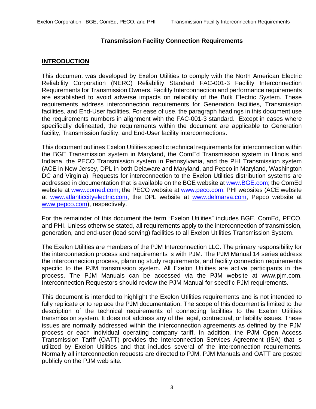# **Transmission Facility Connection Requirements**

## <span id="page-2-0"></span>**INTRODUCTION**

This document was developed by Exelon Utilities to comply with the North American Electric Reliability Corporation (NERC) Reliability Standard FAC-001-3 Facility Interconnection Requirements for Transmission Owners. Facility Interconnection and performance requirements are established to avoid adverse impacts on reliability of the Bulk Electric System. These requirements address interconnection requirements for Generation facilities, Transmission facilities, and End-User facilities. For ease of use, the paragraph headings in this document use the requirements numbers in alignment with the FAC-001-3 standard. Except in cases where specifically delineated, the requirements within the document are applicable to Generation facility, Transmission facility, and End-User facility interconnections.

This document outlines Exelon Utilities specific technical requirements for interconnection within the BGE Transmission system in Maryland, the ComEd Transmission system in Illinois and Indiana, the PECO Transmission system in Pennsylvania, and the PHI Transmission system (ACE in New Jersey, DPL in both Delaware and Maryland, and Pepco in Maryland, Washington DC and Virginia). Requests for interconnection to the Exelon Utilities distribution systems are addressed in documentation that is available on the BGE website at [www.BGE.com;](http://www.bge.com/) the ComEd website at [www.comed.com;](http://www.comed.com/) the PECO website at [www.peco.com,](http://www.peco.com/) PHI websites (ACE website at [www.atlanticcityelectric.com,](http://www.atlanticcityelectric.com/) the DPL website at [www.delmarva.com,](http://www.delmarva.com/) Pepco website at [www.pepco.com\)](http://www.pepco.com/), respectively.

For the remainder of this document the term "Exelon Utilities" includes BGE, ComEd, PECO, and PHI. Unless otherwise stated, all requirements apply to the interconnection of transmission, generation, and end-user (load serving) facilities to all Exelon Utilities Transmission System.

The Exelon Utilities are members of the PJM Interconnection LLC. The primary responsibility for the interconnection process and requirements is with PJM. The PJM Manual 14 series address the interconnection process, planning study requirements, and facility connection requirements specific to the PJM transmission system. All Exelon Utilities are active participants in the process. The PJM Manuals can be accessed via the PJM website at www.pjm.com. Interconnection Requestors should review the PJM Manual for specific PJM requirements.

This document is intended to highlight the Exelon Utilities requirements and is not intended to fully replicate or to replace the PJM documentation. The scope of this document is limited to the description of the technical requirements of connecting facilities to the Exelon Utilities transmission system. It does not address any of the legal, contractual, or liability issues. These issues are normally addressed within the interconnection agreements as defined by the PJM process or each individual operating company tariff. In addition, the PJM Open Access Transmission Tariff (OATT) provides the Interconnection Services Agreement (ISA) that is utilized by Exelon Utilities and that includes several of the interconnection requirements. Normally all interconnection requests are directed to PJM. PJM Manuals and OATT are posted publicly on the PJM web site.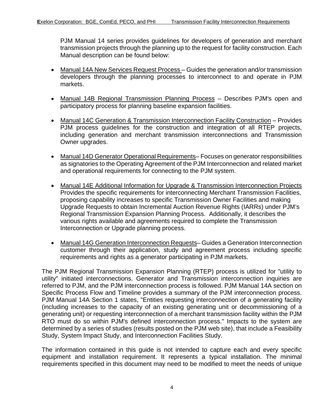PJM Manual 14 series provides guidelines for developers of generation and merchant transmission projects through the planning up to the request for facility construction. Each Manual description can be found below:

- Manual 14A New Services Request Process Guides the generation and/or transmission developers through the planning processes to interconnect to and operate in PJM markets.
- Manual 14B Regional Transmission Planning Process Describes PJM's open and participatory process for planning baseline expansion facilities.
- Manual 14C Generation & Transmission Interconnection Facility Construction Provides PJM process guidelines for the construction and integration of all RTEP projects, including generation and merchant transmission interconnections and Transmission Owner upgrades.
- Manual 14D Generator Operational Requirements-Focuses on generator responsibilities as signatories to the Operating Agreement of the PJM Interconnection and related market and operational requirements for connecting to the PJM system.
- Manual 14E Additional Information for Upgrade & Transmission Interconnection Projects Provides the specific requirements for interconnecting Merchant Transmission Facilities, proposing capability increases to specific Transmission Owner Facilities and making Upgrade Requests to obtain Incremental Auction Revenue Rights (IARRs) under PJM's Regional Transmission Expansion Planning Process. Additionally, it describes the various rights available and agreements required to complete the Transmission Interconnection or Upgrade planning process.
- Manual 14G Generation Interconnection Requests-Guides a Generation Interconnection customer through their application, study and agreement process including specific requirements and rights as a generator participating in PJM markets.

The PJM Regional Transmission Expansion Planning (RTEP) process is utilized for "utility to utility" initiated interconnections. Generator and Transmission interconnection inquiries are referred to PJM, and the PJM interconnection process is followed. PJM Manual 14A section on Specific Process Flow and Timeline provides a summary of the PJM interconnection process. PJM Manual 14A Section 1 states, "Entities requesting interconnection of a generating facility (including increases to the capacity of an existing generating unit or decommissioning of a generating unit) or requesting interconnection of a merchant transmission facility within the PJM RTO must do so within PJM's defined interconnection process." Impacts to the system are determined by a series of studies (results posted on the PJM web site), that include a Feasibility Study, System Impact Study, and Interconnection Facilities Study.

The information contained in this guide is not intended to capture each and every specific equipment and installation requirement. It represents a typical installation. The minimal requirements specified in this document may need to be modified to meet the needs of unique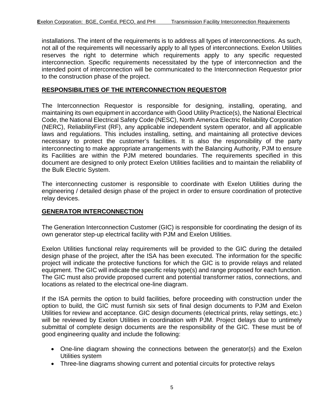installations. The intent of the requirements is to address all types of interconnections. As such, not all of the requirements will necessarily apply to all types of interconnections. Exelon Utilities reserves the right to determine which requirements apply to any specific requested interconnection. Specific requirements necessitated by the type of interconnection and the intended point of interconnection will be communicated to the Interconnection Requestor prior to the construction phase of the project.

### <span id="page-4-0"></span>**RESPONSIBILITIES OF THE INTERCONNECTION REQUESTOR**

The Interconnection Requestor is responsible for designing, installing, operating, and maintaining its own equipment in accordance with Good Utility Practice(s), the National Electrical Code, the National Electrical Safety Code (NESC), North America Electric Reliability Corporation (NERC), ReliabilityFirst (RF), any applicable independent system operator, and all applicable laws and regulations. This includes installing, setting, and maintaining all protective devices necessary to protect the customer's facilities. It is also the responsibility of the party interconnecting to make appropriate arrangements with the Balancing Authority, PJM to ensure its Facilities are within the PJM metered boundaries. The requirements specified in this document are designed to only protect Exelon Utilities facilities and to maintain the reliability of the Bulk Electric System.

The interconnecting customer is responsible to coordinate with Exelon Utilities during the engineering / detailed design phase of the project in order to ensure coordination of protective relay devices.

#### <span id="page-4-1"></span>**GENERATOR INTERCONNECTION**

The Generation Interconnection Customer (GIC) is responsible for coordinating the design of its own generator step-up electrical facility with PJM and Exelon Utilities.

Exelon Utilities functional relay requirements will be provided to the GIC during the detailed design phase of the project, after the ISA has been executed. The information for the specific project will indicate the protective functions for which the GIC is to provide relays and related equipment. The GIC will indicate the specific relay type(s) and range proposed for each function. The GIC must also provide proposed current and potential transformer ratios, connections, and locations as related to the electrical one-line diagram.

If the ISA permits the option to build facilities, before proceeding with construction under the option to build, the GIC must furnish six sets of final design documents to PJM and Exelon Utilities for review and acceptance. GIC design documents (electrical prints, relay settings, etc.) will be reviewed by Exelon Utilities in coordination with PJM. Project delays due to untimely submittal of complete design documents are the responsibility of the GIC. These must be of good engineering quality and include the following:

- One-line diagram showing the connections between the generator(s) and the Exelon Utilities system
- Three-line diagrams showing current and potential circuits for protective relays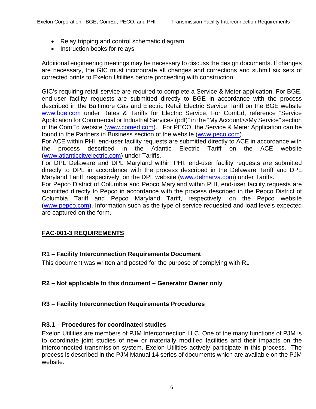- Relay tripping and control schematic diagram
- Instruction books for relays

Additional engineering meetings may be necessary to discuss the design documents. If changes are necessary, the GIC must incorporate all changes and corrections and submit six sets of corrected prints to Exelon Utilities before proceeding with construction.

GIC's requiring retail service are required to complete a Service & Meter application. For BGE, end-user facility requests are submitted directly to BGE in accordance with the process described in the Baltimore Gas and Electric Retail Electric Service Tariff on the BGE website [www.bge.com](http://www.bge.com/) under Rates & Tariffs for Electric Service. For ComEd, reference "Service Application for Commercial or Industrial Services (pdf)" in the "My Account>>My Service" section of the ComEd website (www.comed.com). For PECO, the Service & Meter Application can be found in the Partners in Business section of the website [\(www.peco.com\)](http://www.peco.com/).

For ACE within PHI, end-user facility requests are submitted directly to ACE in accordance with the process described in the Atlantic Electric Tariff on the ACE website [\(www.atlanticcityelectric.com\)](http://www.atlanticcityelectric.com/) under Tariffs.

For DPL Delaware and DPL Maryland within PHI, end-user facility requests are submitted directly to DPL in accordance with the process described in the Delaware Tariff and DPL Maryland Tariff, respectively, on the DPL website [\(www.delmarva.com\)](http://www.delmarva.com/) under Tariffs.

For Pepco District of Columbia and Pepco Maryland within PHI, end-user facility requests are submitted directly to Pepco in accordance with the process described in the Pepco District of Columbia Tariff and Pepco Maryland Tariff, respectively, on the Pepco website [\(www.pepco.com\)](http://www.pepco.com/). Information such as the type of service requested and load levels expected are captured on the form.

# <span id="page-5-0"></span>**FAC-001-3 REQUIREMENTS**

# <span id="page-5-1"></span>**R1 – Facility Interconnection Requirements Document**

This document was written and posted for the purpose of complying with R1

# <span id="page-5-2"></span>**R2 – Not applicable to this document – Generator Owner only**

### <span id="page-5-3"></span>**R3 – Facility Interconnection Requirements Procedures**

### <span id="page-5-4"></span>**R3.1 – Procedures for coordinated studies**

Exelon Utilities are members of PJM Interconnection LLC. One of the many functions of PJM is to coordinate joint studies of new or materially modified facilities and their impacts on the interconnected transmission system. Exelon Utilities actively participate in this process. The process is described in the PJM Manual 14 series of documents which are available on the PJM website.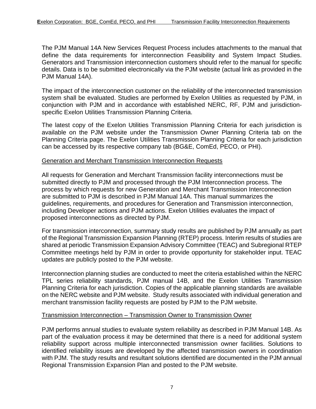The PJM Manual 14A New Services Request Process includes attachments to the manual that define the data requirements for interconnection Feasibility and System Impact Studies. Generators and Transmission interconnection customers should refer to the manual for specific details. Data is to be submitted electronically via the PJM website (actual link as provided in the PJM Manual 14A).

The impact of the interconnection customer on the reliability of the interconnected transmission system shall be evaluated. Studies are performed by Exelon Utilities as requested by PJM, in conjunction with PJM and in accordance with established NERC, RF, PJM and jurisdictionspecific Exelon Utilities Transmission Planning Criteria.

The latest copy of the Exelon Utilities Transmission Planning Criteria for each jurisdiction is available on the PJM website under the Transmission Owner Planning Criteria tab on the Planning Criteria page. The Exelon Utilities Transmission Planning Criteria for each jurisdiction can be accessed by its respective company tab (BG&E, ComEd, PECO, or PHI).

#### Generation and Merchant Transmission Interconnection Requests

All requests for Generation and Merchant Transmission facility interconnections must be submitted directly to PJM and processed through the PJM Interconnection process. The process by which requests for new Generation and Merchant Transmission Interconnection are submitted to PJM is described in PJM Manual 14A. This manual summarizes the guidelines, requirements, and procedures for Generation and Transmission interconnection, including Developer actions and PJM actions. Exelon Utilities evaluates the impact of proposed interconnections as directed by PJM.

For transmission interconnection, summary study results are published by PJM annually as part of the Regional Transmission Expansion Planning (RTEP) process. Interim results of studies are shared at periodic Transmission Expansion Advisory Committee (TEAC) and Subregional RTEP Committee meetings held by PJM in order to provide opportunity for stakeholder input. TEAC updates are publicly posted to the PJM website.

Interconnection planning studies are conducted to meet the criteria established within the NERC TPL series reliability standards, PJM manual 14B, and the Exelon Utilities Transmission Planning Criteria for each jurisdiction. Copies of the applicable planning standards are available on the NERC website and PJM website. Study results associated with individual generation and merchant transmission facility requests are posted by PJM to the PJM website.

#### Transmission Interconnection – Transmission Owner to Transmission Owner

PJM performs annual studies to evaluate system reliability as described in PJM Manual 14B. As part of the evaluation process it may be determined that there is a need for additional system reliability support across multiple interconnected transmission owner facilities. Solutions to identified reliability issues are developed by the affected transmission owners in coordination with PJM. The study results and resultant solutions identified are documented in the PJM annual Regional Transmission Expansion Plan and posted to the PJM website.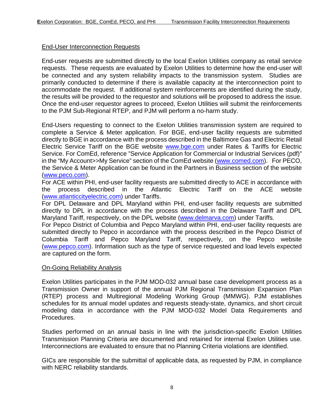### End-User Interconnection Requests

End-user requests are submitted directly to the local Exelon Utilities company as retail service requests. These requests are evaluated by Exelon Utilities to determine how the end-user will be connected and any system reliability impacts to the transmission system. Studies are primarily conducted to determine if there is available capacity at the interconnection point to accommodate the request. If additional system reinforcements are identified during the study, the results will be provided to the requestor and solutions will be proposed to address the issue. Once the end-user requestor agrees to proceed, Exelon Utilities will submit the reinforcements to the PJM Sub-Regional RTEP, and PJM will perform a no-harm study.

End-Users requesting to connect to the Exelon Utilities transmission system are required to complete a Service & Meter application. For BGE, end-user facility requests are submitted directly to BGE in accordance with the process described in the Baltimore Gas and Electric Retail Electric Service Tariff on the BGE website [www.bge.com](http://www.bge.com/) under Rates & Tariffs for Electric Service. For ComEd, reference "Service Application for Commercial or Industrial Services (pdf)" in the "My Account>>My Service" section of the ComEd website [\(www.comed.com\)](file://Lc3msfs01/lc3nw505_vol4/WKGROUP/ITC/Eakins/General%20Compliance%20issues/2020%20AM-EU-3044-R0003%20Review/www.comed.com). For PECO, the Service & Meter Application can be found in the Partners in Business section of the website [\(www.peco.com\)](http://www.peco.com/).

For ACE within PHI, end-user facility requests are submitted directly to ACE in accordance with the process described in the Atlantic Electric Tariff on the ACE website [\(www.atlanticcityelectric.com\)](http://www.atlanticcityelectric.com/) under Tariffs.

For DPL Delaware and DPL Maryland within PHI, end-user facility requests are submitted directly to DPL in accordance with the process described in the Delaware Tariff and DPL Maryland Tariff, respectively, on the DPL website [\(www.delmarva.com\)](http://www.delmarva.com/) under Tariffs.

For Pepco District of Columbia and Pepco Maryland within PHI, end-user facility requests are submitted directly to Pepco in accordance with the process described in the Pepco District of Columbia Tariff and Pepco Maryland Tariff, respectively, on the Pepco website [\(www.pepco.com\)](http://www.pepco.com/). Information such as the type of service requested and load levels expected are captured on the form.

#### On-Going Reliability Analysis

Exelon Utilities participates in the PJM MOD-032 annual base case development process as a Transmission Owner in support of the annual PJM Regional Transmission Expansion Plan (RTEP) process and Multiregional Modeling Working Group (MMWG). PJM establishes schedules for its annual model updates and requests steady-state, dynamics, and short circuit modeling data in accordance with the PJM MOD-032 Model Data Requirements and Procedures.

Studies performed on an annual basis in line with the jurisdiction-specific Exelon Utilities Transmission Planning Criteria are documented and retained for internal Exelon Utilities use. Interconnections are evaluated to ensure that no Planning Criteria violations are identified.

GICs are responsible for the submittal of applicable data, as requested by PJM, in compliance with NERC reliability standards.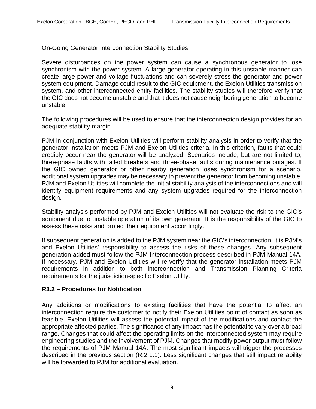### On-Going Generator Interconnection Stability Studies

Severe disturbances on the power system can cause a synchronous generator to lose synchronism with the power system. A large generator operating in this unstable manner can create large power and voltage fluctuations and can severely stress the generator and power system equipment. Damage could result to the GIC equipment, the Exelon Utilities transmission system, and other interconnected entity facilities. The stability studies will therefore verify that the GIC does not become unstable and that it does not cause neighboring generation to become unstable.

The following procedures will be used to ensure that the interconnection design provides for an adequate stability margin.

PJM in conjunction with Exelon Utilities will perform stability analysis in order to verify that the generator installation meets PJM and Exelon Utilities criteria. In this criterion, faults that could credibly occur near the generator will be analyzed. Scenarios include, but are not limited to, three-phase faults with failed breakers and three-phase faults during maintenance outages. If the GIC owned generator or other nearby generation loses synchronism for a scenario, additional system upgrades may be necessary to prevent the generator from becoming unstable. PJM and Exelon Utilities will complete the initial stability analysis of the interconnections and will identify equipment requirements and any system upgrades required for the interconnection design.

Stability analysis performed by PJM and Exelon Utilities will not evaluate the risk to the GIC's equipment due to unstable operation of its own generator. It is the responsibility of the GIC to assess these risks and protect their equipment accordingly.

If subsequent generation is added to the PJM system near the GIC's interconnection, it is PJM's and Exelon Utilities' responsibility to assess the risks of these changes. Any subsequent generation added must follow the PJM Interconnection process described in PJM Manual 14A. If necessary, PJM and Exelon Utilities will re-verify that the generator installation meets PJM requirements in addition to both interconnection and Transmission Planning Criteria requirements for the jurisdiction-specific Exelon Utility.

#### <span id="page-8-0"></span>**R3.2 – Procedures for Notification**

Any additions or modifications to existing facilities that have the potential to affect an interconnection require the customer to notify their Exelon Utilities point of contact as soon as feasible. Exelon Utilities will assess the potential impact of the modifications and contact the appropriate affected parties. The significance of any impact has the potential to vary over a broad range. Changes that could affect the operating limits on the interconnected system may require engineering studies and the involvement of PJM. Changes that modify power output must follow the requirements of PJM Manual 14A. The most significant impacts will trigger the processes described in the previous section (R.2.1.1). Less significant changes that still impact reliability will be forwarded to PJM for additional evaluation.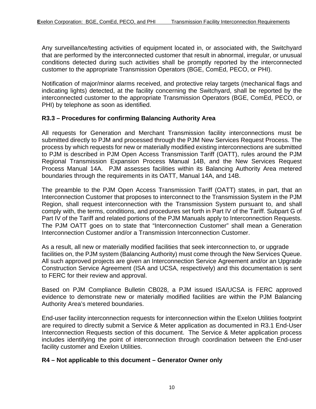Any surveillance/testing activities of equipment located in, or associated with, the Switchyard that are performed by the interconnected customer that result in abnormal, irregular, or unusual conditions detected during such activities shall be promptly reported by the interconnected customer to the appropriate Transmission Operators (BGE, ComEd, PECO, or PHI).

Notification of major/minor alarms received, and protective relay targets (mechanical flags and indicating lights) detected, at the facility concerning the Switchyard, shall be reported by the interconnected customer to the appropriate Transmission Operators (BGE, ComEd, PECO, or PHI) by telephone as soon as identified.

### <span id="page-9-0"></span>**R3.3 – Procedures for confirming Balancing Authority Area**

All requests for Generation and Merchant Transmission facility interconnections must be submitted directly to PJM and processed through the PJM New Services Request Process. The process by which requests for new or materially modified existing interconnections are submitted to PJM is described in PJM Open Access Transmission Tariff (OATT), rules around the PJM Regional Transmission Expansion Process Manual 14B, and the New Services Request Process Manual 14A. PJM assesses facilities within its Balancing Authority Area metered boundaries through the requirements in its OATT, Manual 14A, and 14B.

The preamble to the PJM Open Access Transmission Tariff (OATT) states, in part, that an Interconnection Customer that proposes to interconnect to the Transmission System in the PJM Region, shall request interconnection with the Transmission System pursuant to, and shall comply with, the terms, conditions, and procedures set forth in Part IV of the Tariff. Subpart G of Part IV of the Tariff and related portions of the PJM Manuals apply to Interconnection Requests. The PJM OATT goes on to state that "Interconnection Customer" shall mean a Generation Interconnection Customer and/or a Transmission Interconnection Customer.

As a result, all new or materially modified facilities that seek interconnection to, or upgrade facilities on, the PJM system (Balancing Authority) must come through the New Services Queue. All such approved projects are given an Interconnection Service Agreement and/or an Upgrade Construction Service Agreement (ISA and UCSA, respectively) and this documentation is sent to FERC for their review and approval.

Based on PJM Compliance Bulletin CB028, a PJM issued ISA/UCSA is FERC approved evidence to demonstrate new or materially modified facilities are within the PJM Balancing Authority Area's metered boundaries.

End-user facility interconnection requests for interconnection within the Exelon Utilities footprint are required to directly submit a Service & Meter application as documented in R3.1 End-User Interconnection Requests section of this document. The Service & Meter application process includes identifying the point of interconnection through coordination between the End-user facility customer and Exelon Utilities.

#### <span id="page-9-1"></span>**R4 – Not applicable to this document – Generator Owner only**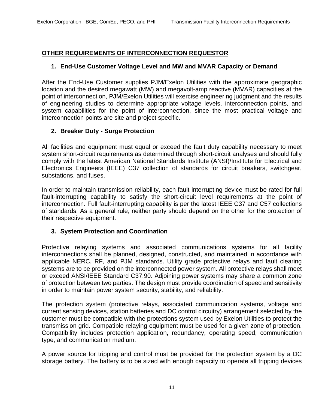### <span id="page-10-1"></span><span id="page-10-0"></span>**OTHER REQUIREMENTS OF INTERCONNECTION REQUESTOR**

### **1. End-Use Customer Voltage Level and MW and MVAR Capacity or Demand**

After the End-Use Customer supplies PJM/Exelon Utilities with the approximate geographic location and the desired megawatt (MW) and megavolt-amp reactive (MVAR) capacities at the point of interconnection, PJM/Exelon Utilities will exercise engineering judgment and the results of engineering studies to determine appropriate voltage levels, interconnection points, and system capabilities for the point of interconnection, since the most practical voltage and interconnection points are site and project specific.

## <span id="page-10-2"></span>**2. Breaker Duty - Surge Protection**

All facilities and equipment must equal or exceed the fault duty capability necessary to meet system short-circuit requirements as determined through short-circuit analyses and should fully comply with the latest American National Standards Institute (ANSI)/Institute for Electrical and Electronics Engineers (IEEE) C37 collection of standards for circuit breakers, switchgear, substations, and fuses.

In order to maintain transmission reliability, each fault-interrupting device must be rated for full fault-interrupting capability to satisfy the short-circuit level requirements at the point of interconnection. Full fault-interrupting capability is per the latest IEEE C37 and C57 collections of standards. As a general rule, neither party should depend on the other for the protection of their respective equipment.

### <span id="page-10-3"></span>**3. System Protection and Coordination**

Protective relaying systems and associated communications systems for all facility interconnections shall be planned, designed, constructed, and maintained in accordance with applicable NERC, RF, and PJM standards. Utility grade protective relays and fault clearing systems are to be provided on the interconnected power system. All protective relays shall meet or exceed ANSI/IEEE Standard C37.90. Adjoining power systems may share a common zone of protection between two parties. The design must provide coordination of speed and sensitivity in order to maintain power system security, stability, and reliability.

The protection system (protective relays, associated communication systems, voltage and current sensing devices, station batteries and DC control circuitry) arrangement selected by the customer must be compatible with the protections system used by Exelon Utilities to protect the transmission grid. Compatible relaying equipment must be used for a given zone of protection. Compatibility includes protection application, redundancy, operating speed, communication type, and communication medium.

A power source for tripping and control must be provided for the protection system by a DC storage battery. The battery is to be sized with enough capacity to operate all tripping devices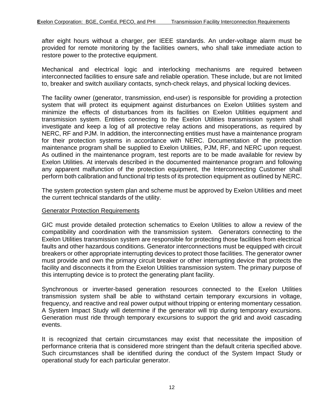after eight hours without a charger, per IEEE standards. An under-voltage alarm must be provided for remote monitoring by the facilities owners, who shall take immediate action to restore power to the protective equipment.

Mechanical and electrical logic and interlocking mechanisms are required between interconnected facilities to ensure safe and reliable operation. These include, but are not limited to, breaker and switch auxiliary contacts, synch-check relays, and physical locking devices.

The facility owner (generator, transmission, end-user) is responsible for providing a protection system that will protect its equipment against disturbances on Exelon Utilities system and minimize the effects of disturbances from its facilities on Exelon Utilities equipment and transmission system. Entities connecting to the Exelon Utilities transmission system shall investigate and keep a log of all protective relay actions and misoperations, as required by NERC, RF and PJM. In addition, the interconnecting entities must have a maintenance program for their protection systems in accordance with NERC. Documentation of the protection maintenance program shall be supplied to Exelon Utilities, PJM, RF, and NERC upon request. As outlined in the maintenance program, test reports are to be made available for review by Exelon Utilities. At intervals described in the documented maintenance program and following any apparent malfunction of the protection equipment, the Interconnecting Customer shall perform both calibration and functional trip tests of its protection equipment as outlined by NERC.

The system protection system plan and scheme must be approved by Exelon Utilities and meet the current technical standards of the utility.

#### Generator Protection Requirements

GIC must provide detailed protection schematics to Exelon Utilities to allow a review of the compatibility and coordination with the transmission system. Generators connecting to the Exelon Utilities transmission system are responsible for protecting those facilities from electrical faults and other hazardous conditions. Generator interconnections must be equipped with circuit breakers or other appropriate interrupting devices to protect those facilities. The generator owner must provide and own the primary circuit breaker or other interrupting device that protects the facility and disconnects it from the Exelon Utilities transmission system. The primary purpose of this interrupting device is to protect the generating plant facility.

Synchronous or inverter-based generation resources connected to the Exelon Utilities transmission system shall be able to withstand certain temporary excursions in voltage, frequency, and reactive and real power output without tripping or entering momentary cessation. A System Impact Study will determine if the generator will trip during temporary excursions. Generation must ride through temporary excursions to support the grid and avoid cascading events.

It is recognized that certain circumstances may exist that necessitate the imposition of performance criteria that is considered more stringent than the default criteria specified above. Such circumstances shall be identified during the conduct of the System Impact Study or operational study for each particular generator.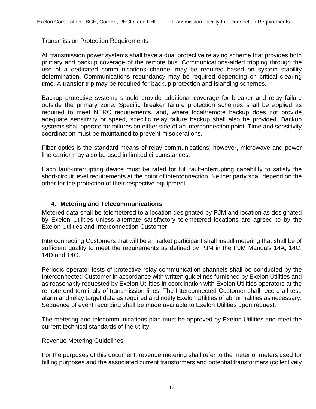### Transmission Protection Requirements

All transmission power systems shall have a dual protective relaying scheme that provides both primary and backup coverage of the remote bus. Communications-aided tripping through the use of a dedicated communications channel may be required based on system stability determination. Communications redundancy may be required depending on critical clearing time. A transfer trip may be required for backup protection and islanding schemes.

Backup protective systems should provide additional coverage for breaker and relay failure outside the primary zone. Specific breaker failure protection schemes shall be applied as required to meet NERC requirements, and, where local/remote backup does not provide adequate sensitivity or speed, specific relay failure backup shall also be provided. Backup systems shall operate for failures on either side of an interconnection point. Time and sensitivity coordination must be maintained to prevent misoperations.

Fiber optics is the standard means of relay communications; however, microwave and power line carrier may also be used in limited circumstances.

Each fault-interrupting device must be rated for full fault-interrupting capability to satisfy the short-circuit level requirements at the point of interconnection. Neither party shall depend on the other for the protection of their respective equipment.

### <span id="page-12-0"></span>**4. Metering and Telecommunications**

Metered data shall be telemetered to a location designated by PJM and location as designated by Exelon Utilities unless alternate satisfactory telemetered locations are agreed to by the Exelon Utilities and Interconnection Customer.

Interconnecting Customers that will be a market participant shall install metering that shall be of sufficient quality to meet the requirements as defined by PJM in the PJM Manuals 14A, 14C, 14D and 14G.

Periodic operator tests of protective relay communication channels shall be conducted by the Interconnected Customer in accordance with written guidelines furnished by Exelon Utilities and as reasonably requested by Exelon Utilities in coordination with Exelon Utilities operators at the remote end terminals of transmission lines. The Interconnected Customer shall record all test, alarm and relay target data as required and notify Exelon Utilities of abnormalities as necessary. Sequence of event recording shall be made available to Exelon Utilities upon request.

The metering and telecommunications plan must be approved by Exelon Utilities and meet the current technical standards of the utility.

#### Revenue Metering Guidelines

For the purposes of this document, revenue metering shall refer to the meter or meters used for billing purposes and the associated current transformers and potential transformers (collectively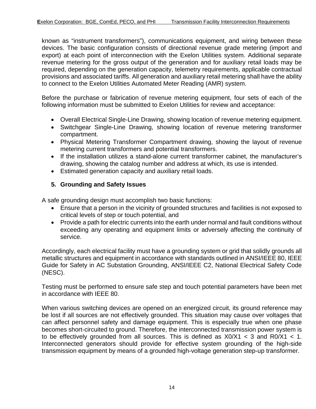known as "instrument transformers"), communications equipment, and wiring between these devices. The basic configuration consists of directional revenue grade metering (import and export) at each point of interconnection with the Exelon Utilities system. Additional separate revenue metering for the gross output of the generation and for auxiliary retail loads may be required, depending on the generation capacity, telemetry requirements, applicable contractual provisions and associated tariffs. All generation and auxiliary retail metering shall have the ability to connect to the Exelon Utilities Automated Meter Reading (AMR) system.

Before the purchase or fabrication of revenue metering equipment, four sets of each of the following information must be submitted to Exelon Utilities for review and acceptance:

- Overall Electrical Single-Line Drawing, showing location of revenue metering equipment.
- Switchgear Single-Line Drawing, showing location of revenue metering transformer compartment.
- Physical Metering Transformer Compartment drawing, showing the layout of revenue metering current transformers and potential transformers.
- If the installation utilizes a stand-alone current transformer cabinet, the manufacturer's drawing, showing the catalog number and address at which, its use is intended.
- Estimated generation capacity and auxiliary retail loads.

### <span id="page-13-0"></span>**5. Grounding and Safety Issues**

A safe grounding design must accomplish two basic functions:

- Ensure that a person in the vicinity of grounded structures and facilities is not exposed to critical levels of step or touch potential, and
- Provide a path for electric currents into the earth under normal and fault conditions without exceeding any operating and equipment limits or adversely affecting the continuity of service.

Accordingly, each electrical facility must have a grounding system or grid that solidly grounds all metallic structures and equipment in accordance with standards outlined in ANSI/IEEE 80, IEEE Guide for Safety in AC Substation Grounding, ANSI/IEEE C2, National Electrical Safety Code (NESC).

Testing must be performed to ensure safe step and touch potential parameters have been met in accordance with IEEE 80.

When various switching devices are opened on an energized circuit, its ground reference may be lost if all sources are not effectively grounded. This situation may cause over voltages that can affect personnel safety and damage equipment. This is especially true when one phase becomes short-circuited to ground. Therefore, the interconnected transmission power system is to be effectively grounded from all sources. This is defined as  $X0/X1 < 3$  and  $R0/X1 < 1$ . Interconnected generators should provide for effective system grounding of the high-side transmission equipment by means of a grounded high-voltage generation step-up transformer.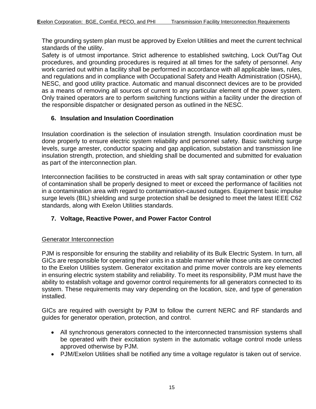The grounding system plan must be approved by Exelon Utilities and meet the current technical standards of the utility.

Safety is of utmost importance. Strict adherence to established switching, Lock Out/Tag Out procedures, and grounding procedures is required at all times for the safety of personnel. Any work carried out within a facility shall be performed in accordance with all applicable laws, rules, and regulations and in compliance with Occupational Safety and Health Administration (OSHA), NESC, and good utility practice. Automatic and manual disconnect devices are to be provided as a means of removing all sources of current to any particular element of the power system. Only trained operators are to perform switching functions within a facility under the direction of the responsible dispatcher or designated person as outlined in the NESC.

## <span id="page-14-0"></span>**6. Insulation and Insulation Coordination**

Insulation coordination is the selection of insulation strength. Insulation coordination must be done properly to ensure electric system reliability and personnel safety. Basic switching surge levels, surge arrester, conductor spacing and gap application, substation and transmission line insulation strength, protection, and shielding shall be documented and submitted for evaluation as part of the interconnection plan.

Interconnection facilities to be constructed in areas with salt spray contamination or other type of contamination shall be properly designed to meet or exceed the performance of facilities not in a contamination area with regard to contamination-caused outages. Equipment basic impulse surge levels (BIL) shielding and surge protection shall be designed to meet the latest IEEE C62 standards, along with Exelon Utilities standards.

### <span id="page-14-1"></span>**7. Voltage, Reactive Power, and Power Factor Control**

### Generator Interconnection

PJM is responsible for ensuring the stability and reliability of its Bulk Electric System. In turn, all GICs are responsible for operating their units in a stable manner while those units are connected to the Exelon Utilities system. Generator excitation and prime mover controls are key elements in ensuring electric system stability and reliability. To meet its responsibility, PJM must have the ability to establish voltage and governor control requirements for all generators connected to its system. These requirements may vary depending on the location, size, and type of generation installed.

GICs are required with oversight by PJM to follow the current NERC and RF standards and guides for generator operation, protection, and control.

- All synchronous generators connected to the interconnected transmission systems shall be operated with their excitation system in the automatic voltage control mode unless approved otherwise by PJM.
- PJM/Exelon Utilities shall be notified any time a voltage regulator is taken out of service.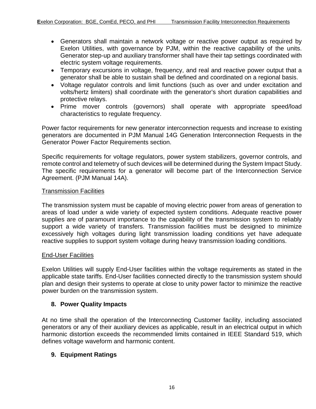- Generators shall maintain a network voltage or reactive power output as required by Exelon Utilities, with governance by PJM, within the reactive capability of the units. Generator step-up and auxiliary transformer shall have their tap settings coordinated with electric system voltage requirements.
- Temporary excursions in voltage, frequency, and real and reactive power output that a generator shall be able to sustain shall be defined and coordinated on a regional basis.
- Voltage regulator controls and limit functions (such as over and under excitation and volts/hertz limiters) shall coordinate with the generator's short duration capabilities and protective relays.
- Prime mover controls (governors) shall operate with appropriate speed/load characteristics to regulate frequency.

Power factor requirements for new generator interconnection requests and increase to existing generators are documented in PJM Manual 14G Generation Interconnection Requests in the Generator Power Factor Requirements section.

Specific requirements for voltage regulators, power system stabilizers, governor controls, and remote control and telemetry of such devices will be determined during the System Impact Study. The specific requirements for a generator will become part of the Interconnection Service Agreement. (PJM Manual 14A).

#### Transmission Facilities

The transmission system must be capable of moving electric power from areas of generation to areas of load under a wide variety of expected system conditions. Adequate reactive power supplies are of paramount importance to the capability of the transmission system to reliably support a wide variety of transfers. Transmission facilities must be designed to minimize excessively high voltages during light transmission loading conditions yet have adequate reactive supplies to support system voltage during heavy transmission loading conditions.

#### End-User Facilities

Exelon Utilities will supply End-User facilities within the voltage requirements as stated in the applicable state tariffs. End-User facilities connected directly to the transmission system should plan and design their systems to operate at close to unity power factor to minimize the reactive power burden on the transmission system.

### <span id="page-15-0"></span>**8. Power Quality Impacts**

At no time shall the operation of the Interconnecting Customer facility, including associated generators or any of their auxiliary devices as applicable, result in an electrical output in which harmonic distortion exceeds the recommended limits contained in IEEE Standard 519, which defines voltage waveform and harmonic content.

### <span id="page-15-1"></span>**9. Equipment Ratings**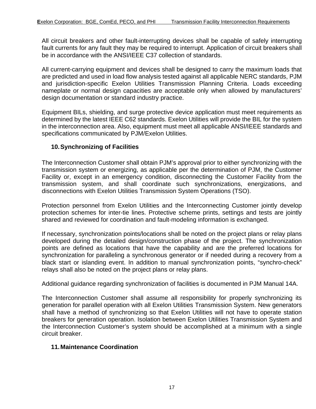All circuit breakers and other fault-interrupting devices shall be capable of safely interrupting fault currents for any fault they may be required to interrupt. Application of circuit breakers shall be in accordance with the ANSI/IEEE C37 collection of standards.

All current-carrying equipment and devices shall be designed to carry the maximum loads that are predicted and used in load flow analysis tested against all applicable NERC standards, PJM and jurisdiction-specific Exelon Utilities Transmission Planning Criteria. Loads exceeding nameplate or normal design capacities are acceptable only when allowed by manufacturers' design documentation or standard industry practice.

Equipment BILs, shielding, and surge protective device application must meet requirements as determined by the latest IEEE C62 standards. Exelon Utilities will provide the BIL for the system in the interconnection area. Also, equipment must meet all applicable ANSI/IEEE standards and specifications communicated by PJM/Exelon Utilities.

### <span id="page-16-0"></span>**10.Synchronizing of Facilities**

The Interconnection Customer shall obtain PJM's approval prior to either synchronizing with the transmission system or energizing, as applicable per the determination of PJM, the Customer Facility or, except in an emergency condition, disconnecting the Customer Facility from the transmission system, and shall coordinate such synchronizations, energizations, and disconnections with Exelon Utilities Transmission System Operations (TSO).

Protection personnel from Exelon Utilities and the Interconnecting Customer jointly develop protection schemes for inter-tie lines. Protective scheme prints, settings and tests are jointly shared and reviewed for coordination and fault-modeling information is exchanged.

If necessary, synchronization points/locations shall be noted on the project plans or relay plans developed during the detailed design/construction phase of the project. The synchronization points are defined as locations that have the capability and are the preferred locations for synchronization for paralleling a synchronous generator or if needed during a recovery from a black start or islanding event. In addition to manual synchronization points, "synchro-check" relays shall also be noted on the project plans or relay plans.

Additional guidance regarding synchronization of facilities is documented in PJM Manual 14A.

The Interconnection Customer shall assume all responsibility for properly synchronizing its generation for parallel operation with all Exelon Utilities Transmission System. New generators shall have a method of synchronizing so that Exelon Utilities will not have to operate station breakers for generation operation. Isolation between Exelon Utilities Transmission System and the Interconnection Customer's system should be accomplished at a minimum with a single circuit breaker.

### <span id="page-16-1"></span>**11.Maintenance Coordination**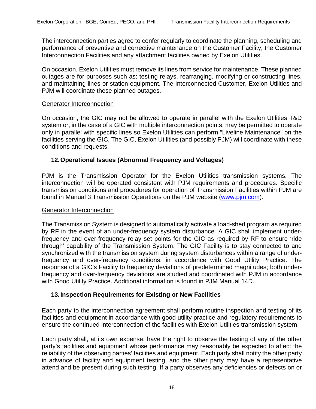The interconnection parties agree to confer regularly to coordinate the planning, scheduling and performance of preventive and corrective maintenance on the Customer Facility, the Customer Interconnection Facilities and any attachment facilities owned by Exelon Utilities.

On occasion, Exelon Utilities must remove its lines from service for maintenance. These planned outages are for purposes such as: testing relays, rearranging, modifying or constructing lines, and maintaining lines or station equipment. The Interconnected Customer, Exelon Utilities and PJM will coordinate these planned outages.

#### **Generator Interconnection**

On occasion, the GIC may not be allowed to operate in parallel with the Exelon Utilities T&D system or, in the case of a GIC with multiple interconnection points, may be permitted to operate only in parallel with specific lines so Exelon Utilities can perform "Liveline Maintenance" on the facilities serving the GIC. The GIC, Exelon Utilities (and possibly PJM) will coordinate with these conditions and requests.

## <span id="page-17-0"></span>**12.Operational Issues (Abnormal Frequency and Voltages)**

PJM is the Transmission Operator for the Exelon Utilities transmission systems. The interconnection will be operated consistent with PJM requirements and procedures. Specific transmission conditions and procedures for operation of Transmission Facilities within PJM are found in Manual 3 Transmission Operations on the PJM website [\(www.pjm.com\)](http://www.pjm.com/).

#### Generator Interconnection

The Transmission System is designed to automatically activate a load-shed program as required by RF in the event of an under-frequency system disturbance. A GIC shall implement underfrequency and over-frequency relay set points for the GIC as required by RF to ensure 'ride through' capability of the Transmission System. The GIC Facility is to stay connected to and synchronized with the transmission system during system disturbances within a range of underfrequency and over-frequency conditions, in accordance with Good Utility Practice. The response of a GIC's Facility to frequency deviations of predetermined magnitudes; both underfrequency and over-frequency deviations are studied and coordinated with PJM in accordance with Good Utility Practice. Additional information is found in PJM Manual 14D.

#### <span id="page-17-1"></span>**13.Inspection Requirements for Existing or New Facilities**

Each party to the interconnection agreement shall perform routine inspection and testing of its facilities and equipment in accordance with good utility practice and regulatory requirements to ensure the continued interconnection of the facilities with Exelon Utilities transmission system.

Each party shall, at its own expense, have the right to observe the testing of any of the other party's facilities and equipment whose performance may reasonably be expected to affect the reliability of the observing parties' facilities and equipment. Each party shall notify the other party in advance of facility and equipment testing, and the other party may have a representative attend and be present during such testing. If a party observes any deficiencies or defects on or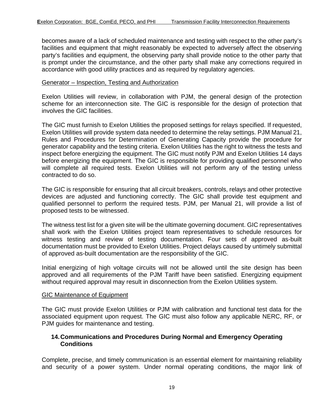becomes aware of a lack of scheduled maintenance and testing with respect to the other party's facilities and equipment that might reasonably be expected to adversely affect the observing party's facilities and equipment, the observing party shall provide notice to the other party that is prompt under the circumstance, and the other party shall make any corrections required in accordance with good utility practices and as required by regulatory agencies.

#### Generator – Inspection, Testing and Authorization

Exelon Utilities will review, in collaboration with PJM, the general design of the protection scheme for an interconnection site. The GIC is responsible for the design of protection that involves the GIC facilities.

The GIC must furnish to Exelon Utilities the proposed settings for relays specified. If requested, Exelon Utilities will provide system data needed to determine the relay settings. PJM Manual 21, Rules and Procedures for Determination of Generating Capacity provide the procedure for generator capability and the testing criteria. Exelon Utilities has the right to witness the tests and inspect before energizing the equipment. The GIC must notify PJM and Exelon Utilities 14 days before energizing the equipment. The GIC is responsible for providing qualified personnel who will complete all required tests. Exelon Utilities will not perform any of the testing unless contracted to do so.

The GIC is responsible for ensuring that all circuit breakers, controls, relays and other protective devices are adjusted and functioning correctly. The GIC shall provide test equipment and qualified personnel to perform the required tests. PJM, per Manual 21, will provide a list of proposed tests to be witnessed.

The witness test list for a given site will be the ultimate governing document. GIC representatives shall work with the Exelon Utilities project team representatives to schedule resources for witness testing and review of testing documentation. Four sets of approved as-built documentation must be provided to Exelon Utilities. Project delays caused by untimely submittal of approved as-built documentation are the responsibility of the GIC.

Initial energizing of high voltage circuits will not be allowed until the site design has been approved and all requirements of the PJM Tariff have been satisfied. Energizing equipment without required approval may result in disconnection from the Exelon Utilities system.

#### GIC Maintenance of Equipment

The GIC must provide Exelon Utilities or PJM with calibration and functional test data for the associated equipment upon request. The GIC must also follow any applicable NERC, RF, or PJM guides for maintenance and testing.

### <span id="page-18-0"></span>**14.Communications and Procedures During Normal and Emergency Operating Conditions**

Complete, precise, and timely communication is an essential element for maintaining reliability and security of a power system. Under normal operating conditions, the major link of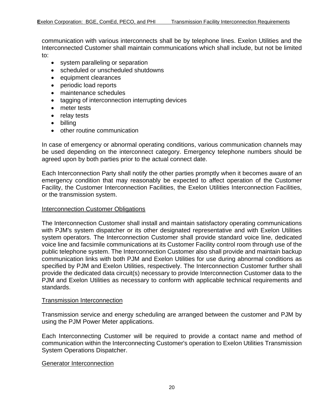communication with various interconnects shall be by telephone lines. Exelon Utilities and the Interconnected Customer shall maintain communications which shall include, but not be limited to:

- system paralleling or separation
- scheduled or unscheduled shutdowns
- equipment clearances
- periodic load reports
- maintenance schedules
- tagging of interconnection interrupting devices
- meter tests
- relay tests
- billing
- other routine communication

In case of emergency or abnormal operating conditions, various communication channels may be used depending on the interconnect category. Emergency telephone numbers should be agreed upon by both parties prior to the actual connect date.

Each Interconnection Party shall notify the other parties promptly when it becomes aware of an emergency condition that may reasonably be expected to affect operation of the Customer Facility, the Customer Interconnection Facilities, the Exelon Utilities Interconnection Facilities, or the transmission system.

#### **Interconnection Customer Obligations**

The Interconnection Customer shall install and maintain satisfactory operating communications with PJM's system dispatcher or its other designated representative and with Exelon Utilities system operators. The Interconnection Customer shall provide standard voice line, dedicated voice line and facsimile communications at its Customer Facility control room through use of the public telephone system. The Interconnection Customer also shall provide and maintain backup communication links with both PJM and Exelon Utilities for use during abnormal conditions as specified by PJM and Exelon Utilities, respectively. The Interconnection Customer further shall provide the dedicated data circuit(s) necessary to provide Interconnection Customer data to the PJM and Exelon Utilities as necessary to conform with applicable technical requirements and standards.

#### Transmission Interconnection

Transmission service and energy scheduling are arranged between the customer and PJM by using the PJM Power Meter applications.

Each Interconnecting Customer will be required to provide a contact name and method of communication within the Interconnecting Customer's operation to Exelon Utilities Transmission System Operations Dispatcher.

#### **Generator Interconnection**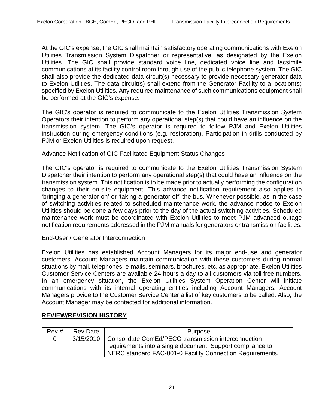At the GIC's expense, the GIC shall maintain satisfactory operating communications with Exelon Utilities Transmission System Dispatcher or representative, as designated by the Exelon Utilities. The GIC shall provide standard voice line, dedicated voice line and facsimile communications at its facility control room through use of the public telephone system. The GIC shall also provide the dedicated data circuit(s) necessary to provide necessary generator data to Exelon Utilities. The data circuit(s) shall extend from the Generator Facility to a location(s) specified by Exelon Utilities. Any required maintenance of such communications equipment shall be performed at the GIC's expense.

The GIC's operator is required to communicate to the Exelon Utilities Transmission System Operators their intention to perform any operational step(s) that could have an influence on the transmission system. The GIC's operator is required to follow PJM and Exelon Utilities instruction during emergency conditions (e.g. restoration). Participation in drills conducted by PJM or Exelon Utilities is required upon request.

## Advance Notification of GIC Facilitated Equipment Status Changes

The GIC's operator is required to communicate to the Exelon Utilities Transmission System Dispatcher their intention to perform any operational step(s) that could have an influence on the transmission system. This notification is to be made prior to actually performing the configuration changes to their on-site equipment. This advance notification requirement also applies to 'bringing a generator on' or 'taking a generator off' the bus. Whenever possible, as in the case of switching activities related to scheduled maintenance work, the advance notice to Exelon Utilities should be done a few days prior to the day of the actual switching activities. Scheduled maintenance work must be coordinated with Exelon Utilities to meet PJM advanced outage notification requirements addressed in the PJM manuals for generators or transmission facilities.

#### End-User / Generator Interconnection

Exelon Utilities has established Account Managers for its major end-use and generator customers. Account Managers maintain communication with these customers during normal situations by mail, telephones, e-mails, seminars, brochures, etc. as appropriate. Exelon Utilities Customer Service Centers are available 24 hours a day to all customers via toll free numbers. In an emergency situation, the Exelon Utilities System Operation Center will initiate communications with its internal operating entities including Account Managers. Account Managers provide to the Customer Service Center a list of key customers to be called. Also, the Account Manager may be contacted for additional information.

### <span id="page-20-0"></span>**REVIEW/REVISION HISTORY**

| Rev# | <b>Rev Date</b> | Purpose                                                         |  |
|------|-----------------|-----------------------------------------------------------------|--|
|      |                 | 3/15/2010   Consolidate ComEd/PECO transmission interconnection |  |
|      |                 | requirements into a single document. Support compliance to      |  |
|      |                 | NERC standard FAC-001-0 Facility Connection Requirements.       |  |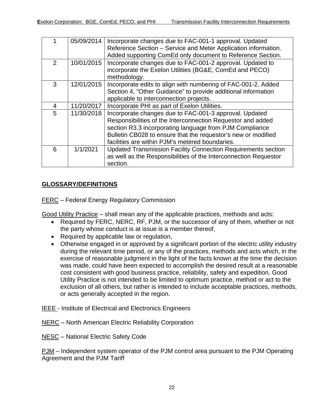|               | 05/09/2014 | Incorporate changes due to FAC-001-1 approval. Updated<br>Reference Section - Service and Meter Application information.<br>Added supporting ComEd only document to Reference Section.                                                                                                               |
|---------------|------------|------------------------------------------------------------------------------------------------------------------------------------------------------------------------------------------------------------------------------------------------------------------------------------------------------|
| $\mathcal{P}$ | 10/01/2015 | Incorporate changes due to FAC-001-2 approval. Updated to<br>incorporate the Exelon Utilities (BG&E, ComEd and PECO)<br>methodology.                                                                                                                                                                 |
| 3             | 12/01/2015 | Incorporate edits to align with numbering of FAC-001-2. Added<br>Section 4, "Other Guidance" to provide additional information<br>applicable to interconnection projects.                                                                                                                            |
| 4             | 11/20/2017 | Incorporate PHI as part of Exelon Utilities.                                                                                                                                                                                                                                                         |
| 5             | 11/30/2018 | Incorporate changes due to FAC-001-3 approval. Updated<br>Responsibilities of the Interconnection Requestor and added<br>section R3.3 incorporating language from PJM Compliance<br>Bulletin CB028 to ensure that the requestor's new or modified<br>facilities are within PJM's metered boundaries. |
| 6             | 1/1/2021   | Updated Transmission Facility Connection Requirements section<br>as well as the Responsibilities of the Interconnection Requestor<br>section.                                                                                                                                                        |

# <span id="page-21-0"></span>**GLOSSARY/DEFINITIONS**

FERC – Federal Energy Regulatory Commission

Good Utility Practice – shall mean any of the applicable practices, methods and acts:

- Required by FERC, NERC, RF, PJM, or the successor of any of them, whether or not the party whose conduct is at issue is a member thereof,
- Required by applicable law or regulation,
- Otherwise engaged in or approved by a significant portion of the electric utility industry during the relevant time period, or any of the practices, methods and acts which, in the exercise of reasonable judgment in the light of the facts known at the time the decision was made, could have been expected to accomplish the desired result at a reasonable cost consistent with good business practice, reliability, safety and expedition. Good Utility Practice is not intended to be limited to optimum practice, method or act to the exclusion of all others, but rather is intended to include acceptable practices, methods, or acts generally accepted in the region.
- IEEE Institute of Electrical and Electronics Engineers
- NERC North American Electric Reliability Corporation
- NESC National Electric Safety Code

PJM – Independent system operator of the PJM control area pursuant to the PJM Operating Agreement and the PJM Tariff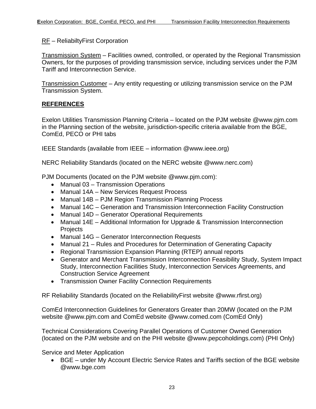### RF – ReliabiltyFirst Corporation

Transmission System – Facilities owned, controlled, or operated by the Regional Transmission Owners, for the purposes of providing transmission service, including services under the PJM Tariff and Interconnection Service.

Transmission Customer – Any entity requesting or utilizing transmission service on the PJM Transmission System.

## <span id="page-22-0"></span>**REFERENCES**

Exelon Utilities Transmission Planning Criteria – located on the PJM website @www.pjm.com in the Planning section of the website, jurisdiction-specific criteria available from the BGE, ComEd, PECO or PHI tabs

IEEE Standards (available from IEEE – information @www.ieee.org)

NERC Reliability Standards (located on the NERC website @www.nerc.com)

PJM Documents (located on the PJM website @www.pjm.com):

- Manual 03 Transmission Operations
- Manual 14A New Services Request Process
- Manual 14B PJM Region Transmission Planning Process
- Manual 14C Generation and Transmission Interconnection Facility Construction
- Manual 14D Generator Operational Requirements
- Manual 14E Additional Information for Upgrade & Transmission Interconnection **Projects**
- Manual 14G Generator Interconnection Requests
- Manual 21 Rules and Procedures for Determination of Generating Capacity
- Regional Transmission Expansion Planning (RTEP) annual reports
- Generator and Merchant Transmission Interconnection Feasibility Study, System Impact Study, Interconnection Facilities Study, Interconnection Services Agreements, and Construction Service Agreement
- Transmission Owner Facility Connection Requirements

RF Reliability Standards (located on the ReliabilityFirst website @www.rfirst.org)

ComEd Interconnection Guidelines for Generators Greater than 20MW (located on the PJM website @www.pjm.com and ComEd website @www.comed.com (ComEd Only)

Technical Considerations Covering Parallel Operations of Customer Owned Generation (located on the PJM website and on the PHI website @www.pepcoholdings.com) (PHI Only)

Service and Meter Application

• BGE – under My Account Electric Service Rates and Tariffs section of the BGE website @www.bge.com